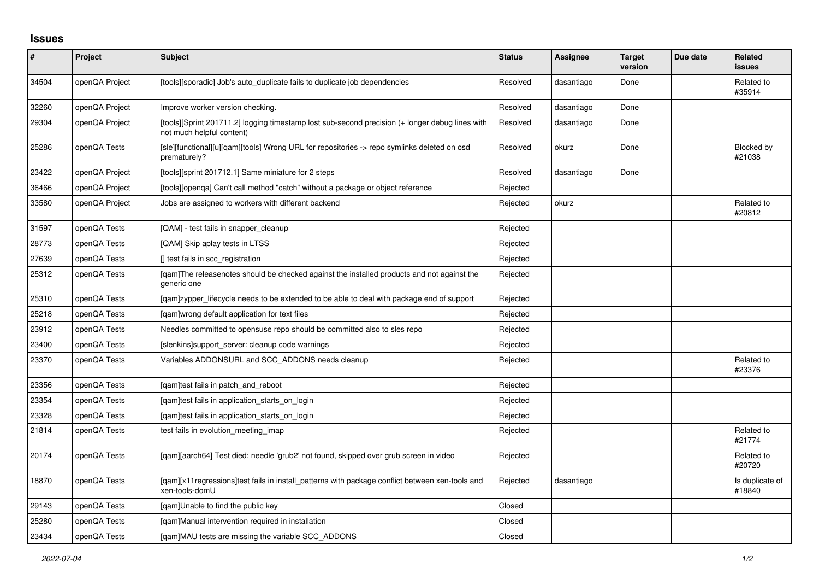## **Issues**

| #     | Project        | <b>Subject</b>                                                                                                               | <b>Status</b> | <b>Assignee</b> | <b>Target</b><br>version | Due date | Related<br>issues         |
|-------|----------------|------------------------------------------------------------------------------------------------------------------------------|---------------|-----------------|--------------------------|----------|---------------------------|
| 34504 | openQA Project | [tools][sporadic] Job's auto_duplicate fails to duplicate job dependencies                                                   | Resolved      | dasantiago      | Done                     |          | Related to<br>#35914      |
| 32260 | openQA Project | Improve worker version checking.                                                                                             | Resolved      | dasantiago      | Done                     |          |                           |
| 29304 | openQA Project | [tools][Sprint 201711.2] logging timestamp lost sub-second precision (+ longer debug lines with<br>not much helpful content) | Resolved      | dasantiago      | Done                     |          |                           |
| 25286 | openQA Tests   | [sle][functional][u][qam][tools] Wrong URL for repositories -> repo symlinks deleted on osd<br>prematurely?                  | Resolved      | okurz           | Done                     |          | Blocked by<br>#21038      |
| 23422 | openQA Project | [tools][sprint 201712.1] Same miniature for 2 steps                                                                          | Resolved      | dasantiago      | Done                     |          |                           |
| 36466 | openQA Project | [tools][openqa] Can't call method "catch" without a package or object reference                                              | Rejected      |                 |                          |          |                           |
| 33580 | openQA Project | Jobs are assigned to workers with different backend                                                                          | Rejected      | okurz           |                          |          | Related to<br>#20812      |
| 31597 | openQA Tests   | [QAM] - test fails in snapper cleanup                                                                                        | Rejected      |                 |                          |          |                           |
| 28773 | openQA Tests   | [QAM] Skip aplay tests in LTSS                                                                                               | Rejected      |                 |                          |          |                           |
| 27639 | openQA Tests   | [] test fails in scc_registration                                                                                            | Rejected      |                 |                          |          |                           |
| 25312 | openQA Tests   | [gam]The releasenotes should be checked against the installed products and not against the<br>generic one                    | Rejected      |                 |                          |          |                           |
| 25310 | openQA Tests   | [gam]zypper_lifecycle needs to be extended to be able to deal with package end of support                                    | Rejected      |                 |                          |          |                           |
| 25218 | openQA Tests   | [qam]wrong default application for text files                                                                                | Rejected      |                 |                          |          |                           |
| 23912 | openQA Tests   | Needles committed to opensuse repo should be committed also to sles repo                                                     | Rejected      |                 |                          |          |                           |
| 23400 | openQA Tests   | [slenkins]support_server: cleanup code warnings                                                                              | Rejected      |                 |                          |          |                           |
| 23370 | openQA Tests   | Variables ADDONSURL and SCC_ADDONS needs cleanup                                                                             | Rejected      |                 |                          |          | Related to<br>#23376      |
| 23356 | openQA Tests   | [gam]test fails in patch and reboot                                                                                          | Rejected      |                 |                          |          |                           |
| 23354 | openQA Tests   | [gam]test fails in application starts on login                                                                               | Rejected      |                 |                          |          |                           |
| 23328 | openQA Tests   | [gam]test fails in application_starts_on_login                                                                               | Rejected      |                 |                          |          |                           |
| 21814 | openQA Tests   | test fails in evolution meeting imap                                                                                         | Rejected      |                 |                          |          | Related to<br>#21774      |
| 20174 | openQA Tests   | [gam][aarch64] Test died: needle 'grub2' not found, skipped over grub screen in video                                        | Rejected      |                 |                          |          | Related to<br>#20720      |
| 18870 | openQA Tests   | [qam][x11regressions]test fails in install_patterns with package conflict between xen-tools and<br>xen-tools-domU            | Rejected      | dasantiago      |                          |          | Is duplicate of<br>#18840 |
| 29143 | openQA Tests   | [qam]Unable to find the public key                                                                                           | Closed        |                 |                          |          |                           |
| 25280 | openQA Tests   | [gam]Manual intervention required in installation                                                                            | Closed        |                 |                          |          |                           |
| 23434 | openQA Tests   | [gam]MAU tests are missing the variable SCC ADDONS                                                                           | Closed        |                 |                          |          |                           |